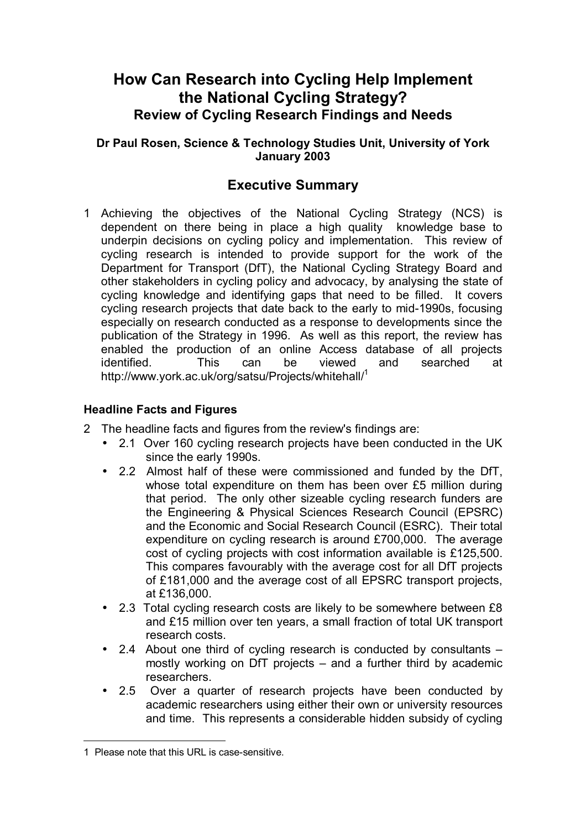## **How Can Research into Cycling Help Implement the National Cycling Strategy? Review of Cycling Research Findings and Needs**

**Dr Paul Rosen, Science & Technology Studies Unit, University of York January 2003**

## **Executive Summary**

1 Achieving the objectives of the National Cycling Strategy (NCS) is dependent on there being in place a high quality knowledge base to underpin decisions on cycling policy and implementation. This review of cycling research is intended to provide support for the work of the Department for Transport (DfT), the National Cycling Strategy Board and other stakeholders in cycling policy and advocacy, by analysing the state of cycling knowledge and identifying gaps that need to be filled. It covers cycling research projects that date back to the early to mid-1990s, focusing especially on research conducted as a response to developments since the publication of the Strategy in 1996. As well as this report, the review has enabled the production of an online Access database of all projects identified. This can be viewed and searched at http://www.york.ac.uk/org/satsu/Projects/whitehall/1

## **Headline Facts and Figures**

- 2 The headline facts and figures from the review's findings are:
	- 2.1 Over 160 cycling research projects have been conducted in the UK since the early 1990s.
	- 2.2 Almost half of these were commissioned and funded by the DfT, whose total expenditure on them has been over £5 million during that period. The only other sizeable cycling research funders are the Engineering & Physical Sciences Research Council (EPSRC) and the Economic and Social Research Council (ESRC). Their total expenditure on cycling research is around £700,000. The average cost of cycling projects with cost information available is £125,500. This compares favourably with the average cost for all DfT projects of £181,000 and the average cost of all EPSRC transport projects, at £136,000.
	- 2.3 Total cycling research costs are likely to be somewhere between £8 and £15 million over ten years, a small fraction of total UK transport research costs.
	- 2.4 About one third of cycling research is conducted by consultants  $$ mostly working on DfT projects  $-$  and a further third by academic researchers.
	- 2.5 Over a quarter of research projects have been conducted by academic researchers using either their own or university resources and time. This represents a considerable hidden subsidy of cycling

 $\overline{a}$ 

<sup>1</sup> Please note that this URL is case-sensitive.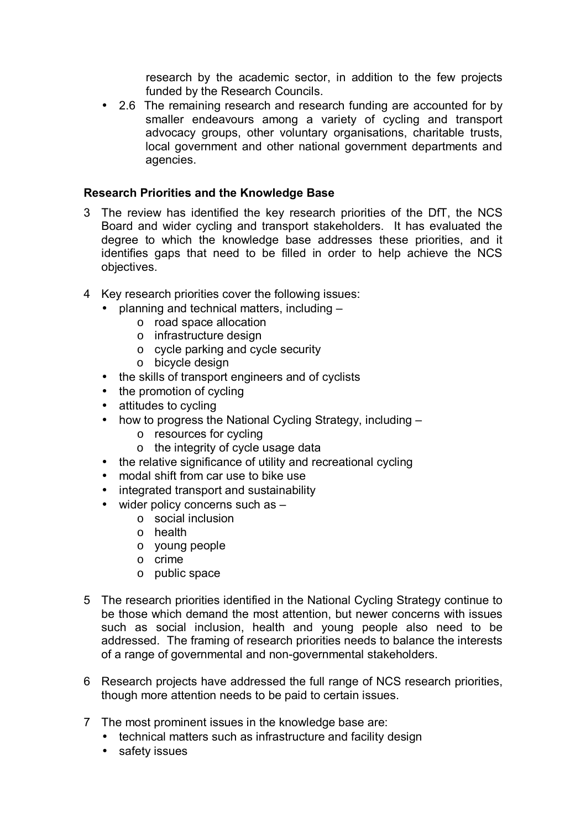research by the academic sector, in addition to the few projects funded by the Research Councils.

2.6 The remaining research and research funding are accounted for by smaller endeavours among a variety of cycling and transport advocacy groups, other voluntary organisations, charitable trusts, local government and other national government departments and agencies.

## **Research Priorities and the Knowledge Base**

- 3 The review has identified the key research priorities of the DfT, the NCS Board and wider cycling and transport stakeholders. It has evaluated the degree to which the knowledge base addresses these priorities, and it identifies gaps that need to be filled in order to help achieve the NCS objectives.
- 4 Key research priorities cover the following issues:
	- $\bullet$  planning and technical matters, including  $\overline{\phantom{a}}$ 
		- o road space allocation
			- o infrastructure design
			- o cycle parking and cycle security
			- o bicycle design
	- the skills of transport engineers and of cyclists
	- the promotion of cycling
	- attitudes to cycling
	- how to progress the National Cycling Strategy, including  $$ 
		- o resources for cycling
		- o the integrity of cycle usage data
	- the relative significance of utility and recreational cycling
	- modal shift from car use to bike use
	- integrated transport and sustainability
	- $\bullet$  wider policy concerns such as  $\overline{\phantom{a}}$ 
		- o social inclusion
		- o health
		- o young people
		- o crime
		- o public space
- 5 The research priorities identified in the National Cycling Strategy continue to be those which demand the most attention, but newer concerns with issues such as social inclusion, health and young people also need to be addressed. The framing of research priorities needs to balance the interests of a range of governmental and non-governmental stakeholders.
- 6 Research projects have addressed the full range of NCS research priorities, though more attention needs to be paid to certain issues.
- 7 The most prominent issues in the knowledge base are:
	- technical matters such as infrastructure and facility design
	- safety issues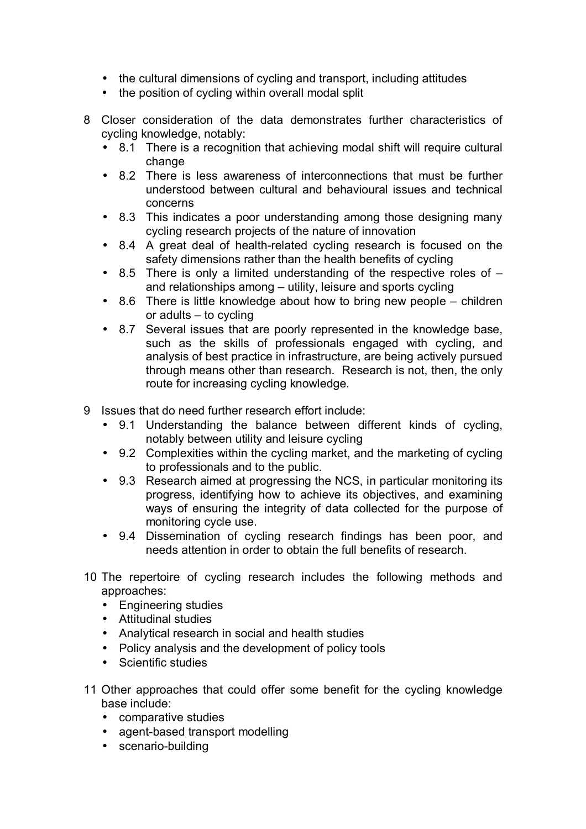- the cultural dimensions of cycling and transport, including attitudes
- the position of cycling within overall modal split
- 8 Closer consideration of the data demonstrates further characteristics of cycling knowledge, notably:
	- 8.1 There is a recognition that achieving modal shift will require cultural change
	- 8.2 There is less awareness of interconnections that must be further understood between cultural and behavioural issues and technical concerns
	- 8.3 This indicates a poor understanding among those designing many cycling research projects of the nature of innovation
	- 8.4 A great deal of health-related cycling research is focused on the safety dimensions rather than the health benefits of cycling
	- 8.5 There is only a limited understanding of the respective roles of  $$ and relationships among  $-$  utility, leisure and sports cycling
	- 8.6 There is little knowledge about how to bring new people  $-$  children or adults  $-$  to cycling
	- 8.7 Several issues that are poorly represented in the knowledge base, such as the skills of professionals engaged with cycling, and analysis of best practice in infrastructure, are being actively pursued through means other than research. Research is not, then, the only route for increasing cycling knowledge.
- 9 Issues that do need further research effort include:
	- 9.1 Understanding the balance between different kinds of cycling, notably between utility and leisure cycling
	- 9.2 Complexities within the cycling market, and the marketing of cycling to professionals and to the public.
	- 9.3 Research aimed at progressing the NCS, in particular monitoring its progress, identifying how to achieve its objectives, and examining ways of ensuring the integrity of data collected for the purpose of monitoring cycle use.
	- 9.4 Dissemination of cycling research findings has been poor, and needs attention in order to obtain the full benefits of research.
- 10 The repertoire of cycling research includes the following methods and approaches:
	- Engineering studies
	- Attitudinal studies
	- Analytical research in social and health studies
	- Policy analysis and the development of policy tools
	- Scientific studies
- 11 Other approaches that could offer some benefit for the cycling knowledge base include:
	- comparative studies
	- agent-based transport modelling
	- scenario-building